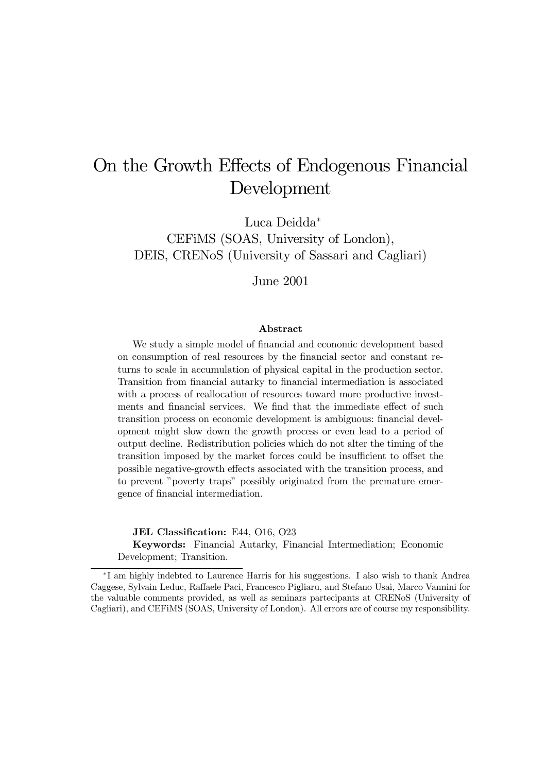# On the Growth Effects of Endogenous Financial Development

Luca Deidda<sup>∗</sup> CEFiMS (SOAS, University of London), DEIS, CRENoS (University of Sassari and Cagliari)

June 2001

#### Abstract

We study a simple model of financial and economic development based on consumption of real resources by the financial sector and constant returns to scale in accumulation of physical capital in the production sector. Transition from financial autarky to financial intermediation is associated with a process of reallocation of resources toward more productive investments and financial services. We find that the immediate effect of such transition process on economic development is ambiguous: financial development might slow down the growth process or even lead to a period of output decline. Redistribution policies which do not alter the timing of the transition imposed by the market forces could be insufficient to offset the possible negative-growth effects associated with the transition process, and to prevent "poverty traps" possibly originated from the premature emergence of financial intermediation.

JEL Classification: E44, O16, O23

Keywords: Financial Autarky, Financial Intermediation; Economic Development; Transition.

<sup>∗</sup>I am highly indebted to Laurence Harris for his suggestions. I also wish to thank Andrea Caggese, Sylvain Leduc, Raffaele Paci, Francesco Pigliaru, and Stefano Usai, Marco Vannini for the valuable comments provided, as well as seminars partecipants at CRENoS (University of Cagliari), and CEFiMS (SOAS, University of London). All errors are of course my responsibility.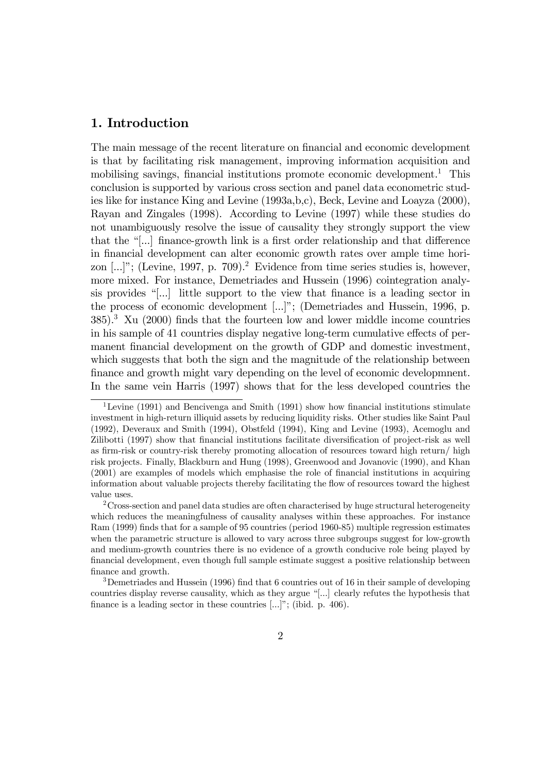# 1. Introduction

The main message of the recent literature on financial and economic development is that by facilitating risk management, improving information acquisition and mobilising savings, financial institutions promote economic development.<sup>1</sup> This conclusion is supported by various cross section and panel data econometric studies like for instance King and Levine (1993a,b,c), Beck, Levine and Loayza (2000), Rayan and Zingales (1998). According to Levine (1997) while these studies do not unambiguously resolve the issue of causality they strongly support the view that the  $\lceil \cdot \rceil$  finance-growth link is a first order relationship and that difference in financial development can alter economic growth rates over ample time horizon  $[...]$ ; (Levine, 1997, p. 709).<sup>2</sup> Evidence from time series studies is, however, more mixed. For instance, Demetriades and Hussein (1996) cointegration analysis provides  $\lceil \cdot \rceil$  little support to the view that finance is a leading sector in the process of economic development [...]"; (Demetriades and Hussein, 1996, p.  $385$ ).<sup>3</sup> Xu (2000) finds that the fourteen low and lower middle income countries in his sample of 41 countries display negative long-term cumulative effects of permanent financial development on the growth of GDP and domestic investment, which suggests that both the sign and the magnitude of the relationship between finance and growth might vary depending on the level of economic developmnent. In the same vein Harris (1997) shows that for the less developed countries the

<sup>&</sup>lt;sup>1</sup>Levine (1991) and Bencivenga and Smith (1991) show how financial institutions stimulate investment in high-return illiquid assets by reducing liquidity risks. Other studies like Saint Paul (1992), Deveraux and Smith (1994), Obstfeld (1994), King and Levine (1993), Acemoglu and Zilibotti (1997) show that financial institutions facilitate diversification of project-risk as well as firm-risk or country-risk thereby promoting allocation of resources toward high return/ high risk projects. Finally, Blackburn and Hung (1998), Greenwood and Jovanovic (1990), and Khan (2001) are examples of models which emphasise the role of financial institutions in acquiring information about valuable projects thereby facilitating the flow of resources toward the highest value uses.

 $2C$ ross-section and panel data studies are often characterised by huge structural heterogeneity which reduces the meaningfulness of causality analyses within these approaches. For instance Ram (1999) finds that for a sample of 95 countries (period 1960-85) multiple regression estimates when the parametric structure is allowed to vary across three subgroups suggest for low-growth and medium-growth countries there is no evidence of a growth conducive role being played by financial development, even though full sample estimate suggest a positive relationship between finance and growth.

<sup>3</sup>Demetriades and Hussein (1996) find that 6 countries out of 16 in their sample of developing countries display reverse causality, which as they argue  $\lceil \ldots \rceil$  clearly refutes the hypothesis that finance is a leading sector in these countries  $[...]$ ; (ibid. p. 406).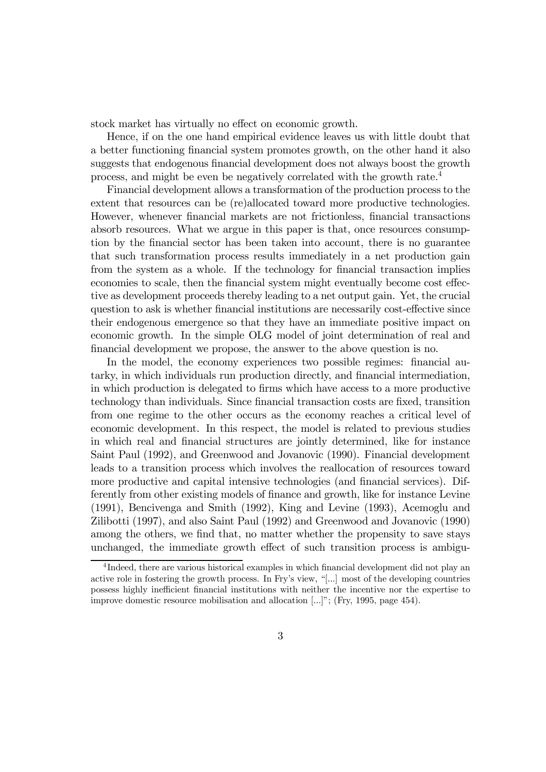stock market has virtually no effect on economic growth.

Hence, if on the one hand empirical evidence leaves us with little doubt that a better functioning financial system promotes growth, on the other hand it also suggests that endogenous financial development does not always boost the growth process, and might be even be negatively correlated with the growth rate.4

Financial development allows a transformation of the production process to the extent that resources can be (re)allocated toward more productive technologies. However, whenever financial markets are not frictionless, financial transactions absorb resources. What we argue in this paper is that, once resources consumption by the financial sector has been taken into account, there is no guarantee that such transformation process results immediately in a net production gain from the system as a whole. If the technology for financial transaction implies economies to scale, then the financial system might eventually become cost effective as development proceeds thereby leading to a net output gain. Yet, the crucial question to ask is whether financial institutions are necessarily cost-effective since their endogenous emergence so that they have an immediate positive impact on economic growth. In the simple OLG model of joint determination of real and financial development we propose, the answer to the above question is no.

In the model, the economy experiences two possible regimes: financial autarky, in which individuals run production directly, and financial intermediation, in which production is delegated to firms which have access to a more productive technology than individuals. Since financial transaction costs are fixed, transition from one regime to the other occurs as the economy reaches a critical level of economic development. In this respect, the model is related to previous studies in which real and financial structures are jointly determined, like for instance Saint Paul (1992), and Greenwood and Jovanovic (1990). Financial development leads to a transition process which involves the reallocation of resources toward more productive and capital intensive technologies (and financial services). Differently from other existing models of finance and growth, like for instance Levine (1991), Bencivenga and Smith (1992), King and Levine (1993), Acemoglu and Zilibotti (1997), and also Saint Paul (1992) and Greenwood and Jovanovic (1990) among the others, we find that, no matter whether the propensity to save stays unchanged, the immediate growth effect of such transition process is ambigu-

<sup>&</sup>lt;sup>4</sup>Indeed, there are various historical examples in which financial development did not play an active role in fostering the growth process. In Fry's view, "[...] most of the developing countries possess highly inefficient financial institutions with neither the incentive nor the expertise to improve domestic resource mobilisation and allocation  $[...]$ ; (Fry, 1995, page 454).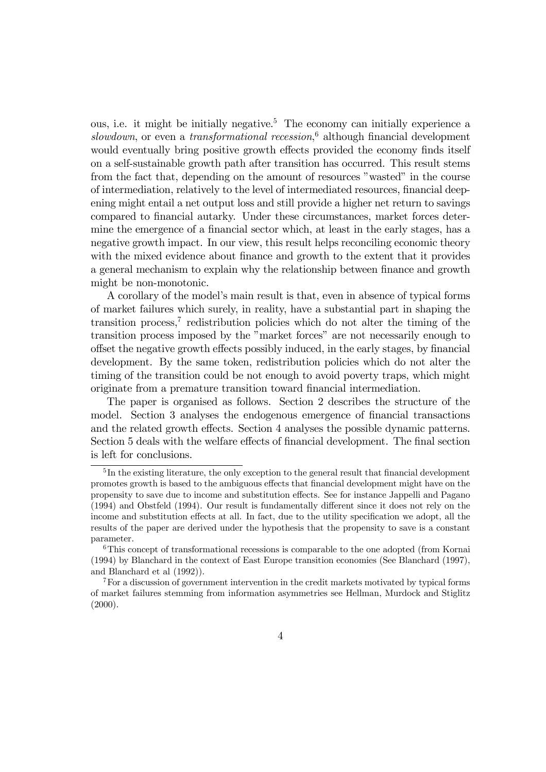ous, i.e. it might be initially negative.5 The economy can initially experience a slowdown, or even a *transformational recession*,<sup>6</sup> although financial development would eventually bring positive growth effects provided the economy finds itself on a self-sustainable growth path after transition has occurred. This result stems from the fact that, depending on the amount of resources "wasted" in the course of intermediation, relatively to the level of intermediated resources, financial deepening might entail a net output loss and still provide a higher net return to savings compared to financial autarky. Under these circumstances, market forces determine the emergence of a financial sector which, at least in the early stages, has a negative growth impact. In our view, this result helps reconciling economic theory with the mixed evidence about finance and growth to the extent that it provides a general mechanism to explain why the relationship between finance and growth might be non-monotonic.

A corollary of the model's main result is that, even in absence of typical forms of market failures which surely, in reality, have a substantial part in shaping the transition process,<sup> $7$ </sup> redistribution policies which do not alter the timing of the transition process imposed by the "market forces" are not necessarily enough to offset the negative growth effects possibly induced, in the early stages, by financial development. By the same token, redistribution policies which do not alter the timing of the transition could be not enough to avoid poverty traps, which might originate from a premature transition toward financial intermediation.

The paper is organised as follows. Section 2 describes the structure of the model. Section 3 analyses the endogenous emergence of financial transactions and the related growth effects. Section 4 analyses the possible dynamic patterns. Section 5 deals with the welfare effects of financial development. The final section is left for conclusions.

<sup>&</sup>lt;sup>5</sup>In the existing literature, the only exception to the general result that financial development promotes growth is based to the ambiguous effects that financial development might have on the propensity to save due to income and substitution effects. See for instance Jappelli and Pagano (1994) and Obstfeld (1994). Our result is fundamentally different since it does not rely on the income and substitution effects at all. In fact, due to the utility specification we adopt, all the results of the paper are derived under the hypothesis that the propensity to save is a constant parameter.

<sup>&</sup>lt;sup>6</sup>This concept of transformational recessions is comparable to the one adopted (from Kornai (1994) by Blanchard in the context of East Europe transition economies (See Blanchard (1997), and Blanchard et al (1992)).

<sup>7</sup>For a discussion of government intervention in the credit markets motivated by typical forms of market failures stemming from information asymmetries see Hellman, Murdock and Stiglitz  $(2000).$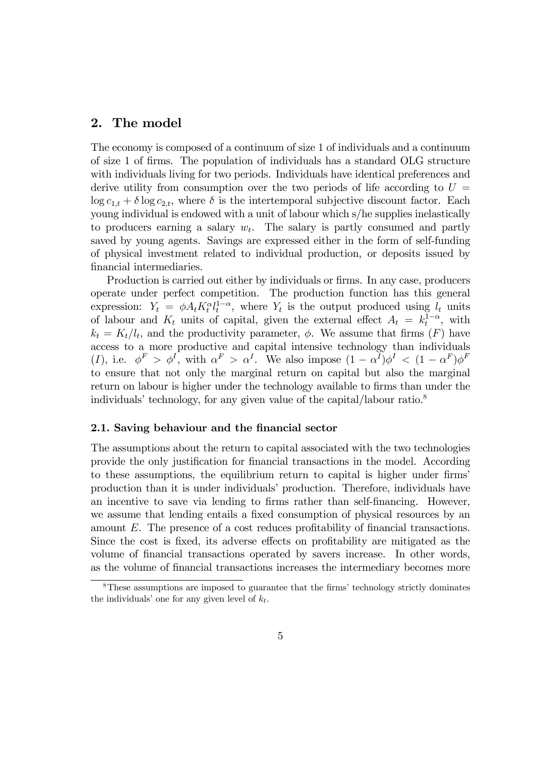# 2. The model

The economy is composed of a continuum of size 1 of individuals and a continuum of size 1 of firms. The population of individuals has a standard OLG structure with individuals living for two periods. Individuals have identical preferences and derive utility from consumption over the two periods of life according to  $U =$  $\log c_{1,t} + \delta \log c_{2,t}$ , where  $\delta$  is the intertemporal subjective discount factor. Each young individual is endowed with a unit of labour which s/he supplies inelastically to producers earning a salary  $w_t$ . The salary is partly consumed and partly saved by young agents. Savings are expressed either in the form of self-funding of physical investment related to individual production, or deposits issued by financial intermediaries.

Production is carried out either by individuals or firms. In any case, producers operate under perfect competition. The production function has this general expression:  $Y_t = \phi A_t K_t^{\alpha} l_t^{1-\alpha}$ , where  $Y_t$  is the output produced using  $l_t$  units of labour and  $K_t$  units of capital, given the external effect  $A_t = k_t^{1-\alpha}$ , with  $k_t = K_t/l_t$ , and the productivity parameter,  $\phi$ . We assume that firms  $(F)$  have access to a more productive and capital intensive technology than individuals (I), i.e.  $\phi^F > \phi^I$ , with  $\alpha^F > \alpha^I$ . We also impose  $(1 - \alpha^I)\phi^I < (1 - \alpha^F)\phi^F$ to ensure that not only the marginal return on capital but also the marginal return on labour is higher under the technology available to firms than under the individuals' technology, for any given value of the capital/labour ratio. $8$ 

### 2.1. Saving behaviour and the financial sector

The assumptions about the return to capital associated with the two technologies provide the only justification for financial transactions in the model. According to these assumptions, the equilibrium return to capital is higher under firmsí production than it is under individuals' production. Therefore, individuals have an incentive to save via lending to firms rather than self-financing. However, we assume that lending entails a fixed consumption of physical resources by an amount E. The presence of a cost reduces profitability of financial transactions. Since the cost is fixed, its adverse effects on profitability are mitigated as the volume of financial transactions operated by savers increase. In other words, as the volume of financial transactions increases the intermediary becomes more

<sup>&</sup>lt;sup>8</sup>These assumptions are imposed to guarantee that the firms' technology strictly dominates the individuals' one for any given level of  $k_t$ .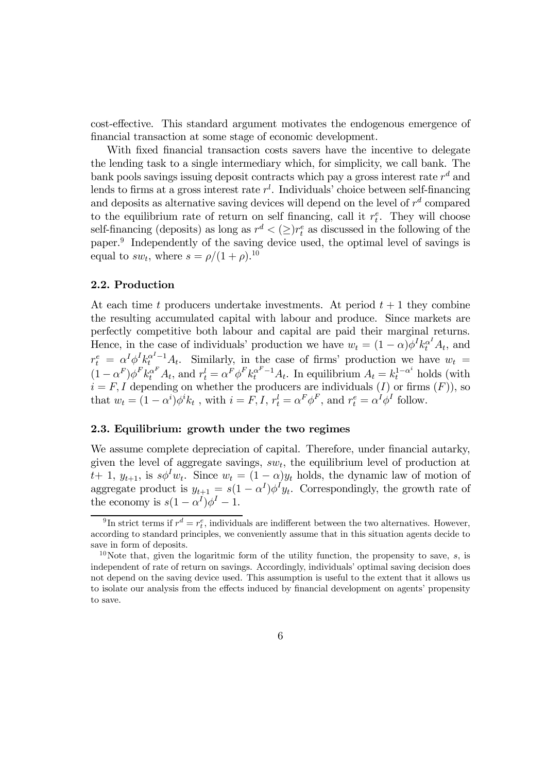cost-effective. This standard argument motivates the endogenous emergence of financial transaction at some stage of economic development.

With fixed financial transaction costs savers have the incentive to delegate the lending task to a single intermediary which, for simplicity, we call bank. The bank pools savings issuing deposit contracts which pay a gross interest rate  $r<sup>d</sup>$  and lends to firms at a gross interest rate  $r<sup>l</sup>$ . Individuals' choice between self-financing and deposits as alternative saving devices will depend on the level of  $r<sup>d</sup>$  compared to the equilibrium rate of return on self financing, call it  $r_t^e$ . They will choose self-financing (deposits) as long as  $r^d < (\geq) r_t^e$  as discussed in the following of the paper.9 Independently of the saving device used, the optimal level of savings is equal to  $sw_t$ , where  $s = \rho/(1+\rho).^{10}$ 

## 2.2. Production

At each time t producers undertake investments. At period  $t + 1$  they combine the resulting accumulated capital with labour and produce. Since markets are perfectly competitive both labour and capital are paid their marginal returns. Hence, in the case of individuals' production we have  $w_t = (1 - \alpha)\phi^I k_t^{\alpha^I} A_t$ , and  $r_t^e = \alpha^I \phi^I k_t^{\alpha^I-1} A_t$ . Similarly, in the case of firms' production we have  $w_t =$  $(1-\alpha^F)\phi^F k_t^{\alpha^F} A_t$ , and  $r_t^l = \alpha^F \phi^F k_t^{\alpha^F-1} A_t$ . In equilibrium  $A_t = k_t^{1-\alpha^i}$  holds (with  $i = F, I$  depending on whether the producers are individuals  $(I)$  or firms  $(F)$ ), so that  $w_t = (1 - \alpha^i)\phi^i k_t$ , with  $i = F, I, r_t^l = \alpha^F \phi^F$ , and  $r_t^e = \alpha^I \phi^I$  follow.

## 2.3. Equilibrium: growth under the two regimes

We assume complete depreciation of capital. Therefore, under financial autarky, given the level of aggregate savings,  $sw_t$ , the equilibrium level of production at  $t+1$ ,  $y_{t+1}$ , is  $s\phi^I w_t$ . Since  $w_t = (1-\alpha)y_t$  holds, the dynamic law of motion of aggregate product is  $y_{t+1} = s(1 - \alpha^I) \phi^I y_t$ . Correspondingly, the growth rate of the economy is  $s(1-\alpha^I)\phi^I-1$ .

<sup>&</sup>lt;sup>9</sup>In strict terms if  $r^d = r_t^e$ , individuals are indifferent between the two alternatives. However, according to standard principles, we conveniently assume that in this situation agents decide to save in form of deposits.

<sup>&</sup>lt;sup>10</sup>Note that, given the logaritmic form of the utility function, the propensity to save, s, is independent of rate of return on savings. Accordingly, individuals' optimal saving decision does not depend on the saving device used. This assumption is useful to the extent that it allows us to isolate our analysis from the effects induced by financial development on agents' propensity to save.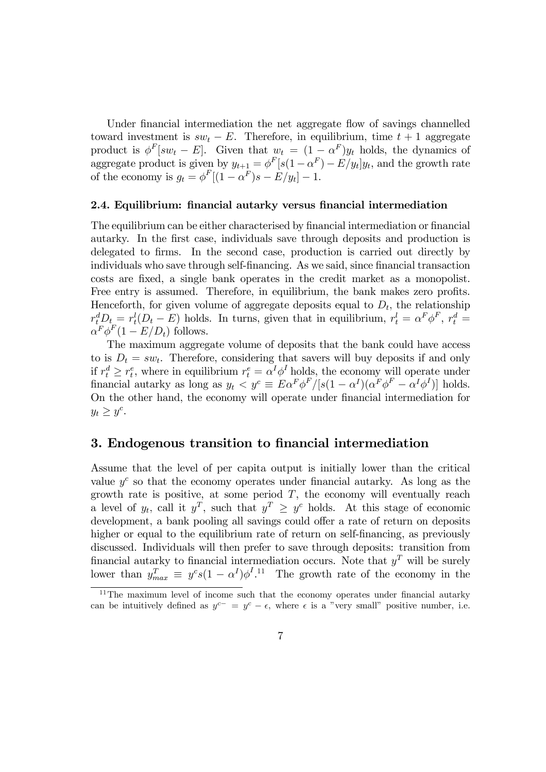Under financial intermediation the net aggregate flow of savings channelled toward investment is  $sw_t - E$ . Therefore, in equilibrium, time  $t + 1$  aggregate product is  $\phi^F[sw_t - E]$ . Given that  $w_t = (1 - \alpha^F)y_t$  holds, the dynamics of aggregate product is given by  $y_{t+1} = \phi^F [s(1 - \alpha^F) - E/y_t] y_t$ , and the growth rate of the economy is  $g_t = \phi^F[(1-\alpha^F)s - E/y_t] - 1$ .

#### 2.4. Equilibrium: financial autarky versus financial intermediation

The equilibrium can be either characterised by financial intermediation or financial autarky. In the first case, individuals save through deposits and production is delegated to firms. In the second case, production is carried out directly by individuals who save through self-financing. As we said, since financial transaction costs are fixed, a single bank operates in the credit market as a monopolist. Free entry is assumed. Therefore, in equilibrium, the bank makes zero profits. Henceforth, for given volume of aggregate deposits equal to  $D_t$ , the relationship  $r_t^d D_t = r_t^l (D_t - E)$  holds. In turns, given that in equilibrium,  $r_t^l = \alpha^F \phi^F$ ,  $r_t^d =$  $\alpha^F \phi^F (1 - E/D_t)$  follows.

The maximum aggregate volume of deposits that the bank could have access to is  $D_t = sw_t$ . Therefore, considering that savers will buy deposits if and only if  $r_t^d \geq r_t^e$ , where in equilibrium  $r_t^e = \alpha^I \phi^I$  holds, the economy will operate under financial autarky as long as  $y_t < y^c \equiv E \alpha^F \phi^F / [s(1 - \alpha^I)(\alpha^F \phi^F - \alpha^I \phi^I)]$  holds. On the other hand, the economy will operate under financial intermediation for  $y_t \geq y^c$ .

## 3. Endogenous transition to financial intermediation

Assume that the level of per capita output is initially lower than the critical value  $y^c$  so that the economy operates under financial autarky. As long as the growth rate is positive, at some period  $T$ , the economy will eventually reach a level of  $y_t$ , call it  $y^T$ , such that  $y^T \geq y^c$  holds. At this stage of economic development, a bank pooling all savings could offer a rate of return on deposits higher or equal to the equilibrium rate of return on self-financing, as previously discussed. Individuals will then prefer to save through deposits: transition from financial autarky to financial intermediation occurs. Note that  $y<sup>T</sup>$  will be surely lower than  $y_{max}^T \equiv y^c s (1 - \alpha^I) \phi^{I}$ .<sup>11</sup> The growth rate of the economy in the

 $11$ The maximum level of income such that the economy operates under financial autarky can be intuitively defined as  $y^{c-} = y^c - \epsilon$ , where  $\epsilon$  is a "very small" positive number, i.e.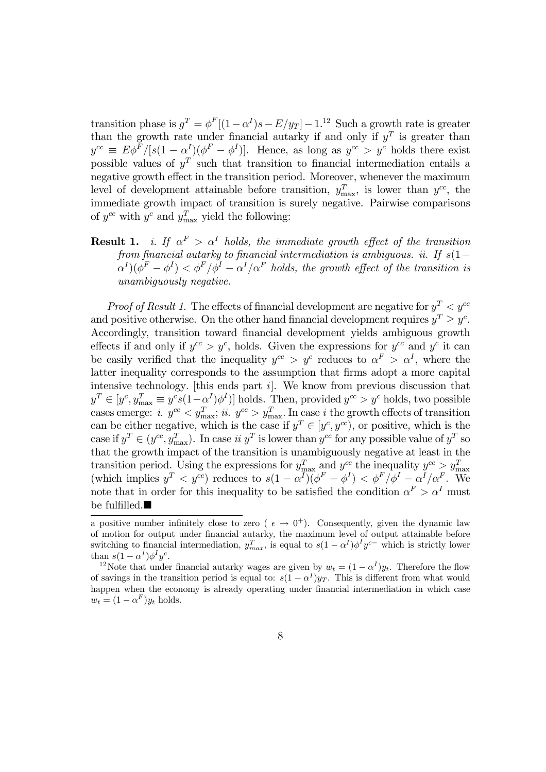transition phase is  $g^T = \phi^F[(1-\alpha^I)s - E/y_T] - 1$ .<sup>12</sup> Such a growth rate is greater than the growth rate under financial autarky if and only if  $y<sup>T</sup>$  is greater than  $y^{cc} \equiv E\phi^F/[s(1-\alpha^I)(\phi^F-\phi^I)].$  Hence, as long as  $y^{cc} > y^c$  holds there exist possible values of  $y^T$  such that transition to financial intermediation entails a negative growth effect in the transition period. Moreover, whenever the maximum level of development attainable before transition,  $y_{\text{max}}^T$ , is lower than  $y^{cc}$ , the immediate growth impact of transition is surely negative. Pairwise comparisons of  $y^{cc}$  with  $y^c$  and  $y_{\text{max}}^T$  yield the following:

**Result 1.** i. If  $\alpha^F > \alpha^I$  holds, the immediate growth effect of the transition from financial autarky to financial intermediation is ambiguous. ii. If  $s(1-\frac{1}{s})$  $\alpha^{I}(\phi^{F}-\phi^{I})<\phi^{F}/\phi^{I}-\alpha^{I}/\alpha^{F}$  holds, the growth effect of the transition is unambiguously negative.

*Proof of Result 1.* The effects of financial development are negative for  $y^T < y^{cc}$ and positive otherwise. On the other hand financial development requires  $y^T \geq y^c$ . Accordingly, transition toward financial development yields ambiguous growth effects if and only if  $y^{cc} > y^c$ , holds. Given the expressions for  $y^{cc}$  and  $y^c$  it can be easily verified that the inequality  $y^{cc} > y^c$  reduces to  $\alpha^F > \alpha^I$ , where the latter inequality corresponds to the assumption that firms adopt a more capital intensive technology. [this ends part i]. We know from previous discussion that  $y^T \in [y^c, y_{\text{max}}^T \equiv y^c s (1 - \alpha^I) \phi^I]$  holds. Then, provided  $y^{cc} > y^c$  holds, two possible cases emerge: *i.*  $y^{cc} < y_{\text{max}}^T$ ; *ii.*  $y^{cc} > y_{\text{max}}^T$ . In case *i* the growth effects of transition can be either negative, which is the case if  $y^T \in [y^c, y^{cc})$ , or positive, which is the case if  $y^T \in (y^{cc}, y_{\text{max}}^T)$ . In case *ii*  $y^T$  is lower than  $y^{cc}$  for any possible value of  $y^T$  so that the growth impact of the transition is unambiguously negative at least in the transition period. Using the expressions for  $y_{\text{max}}^T$  and  $y^{cc}$  the inequality  $y^{cc} > y_{\text{max}}^T$  (which implies  $y^T < y^{cc}$ ) reduces to  $s(1 - \alpha^I)(\phi^F - \phi^I) < \phi^F/\phi^I - \alpha^I/\alpha^F$ . We note that in order for this inequality to be satisfied the condition  $\alpha^F > \alpha^I$  must be fulfilled. $\blacksquare$ 

a positive number infinitely close to zero ( $\epsilon \rightarrow 0^+$ ). Consequently, given the dynamic law of motion for output under financial autarky, the maximum level of output attainable before switching to financial intermediation,  $y_{max}^T$ , is equal to  $s(1 - \alpha^I)\phi^I y^{c-}$  which is strictly lower than  $s(1 - \alpha^I)\phi^I y^c$ .<br><sup>12</sup>Note that under financial autarky wages are given by  $w_t = (1 - \alpha^I)y_t$ . Therefore the flow

of savings in the transition period is equal to:  $s(1 - \alpha^I)y_T$ . This is different from what would happen when the economy is already operating under financial intermediation in which case  $w_t = (1 - \alpha^F) y_t$  holds.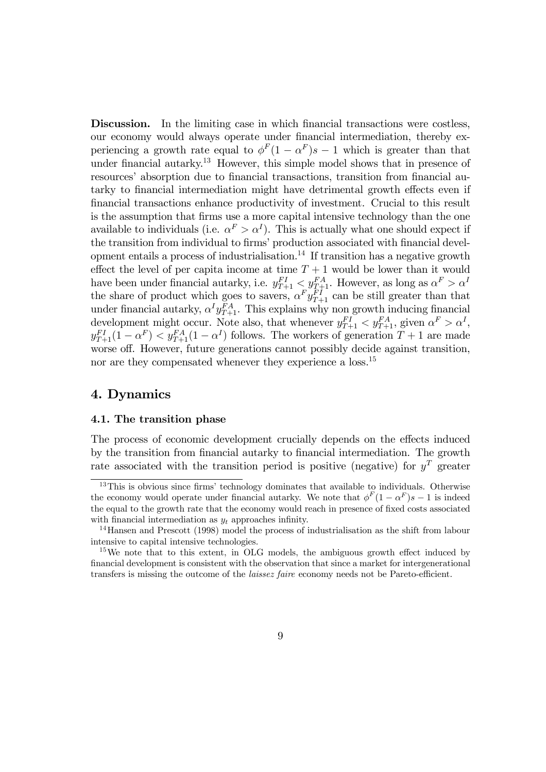Discussion. In the limiting case in which financial transactions were costless, our economy would always operate under financial intermediation, thereby experiencing a growth rate equal to  $\phi^F(1-\alpha^F)s-1$  which is greater than that under financial autarky.<sup>13</sup> However, this simple model shows that in presence of resources' absorption due to financial transactions, transition from financial autarky to financial intermediation might have detrimental growth effects even if financial transactions enhance productivity of investment. Crucial to this result is the assumption that firms use a more capital intensive technology than the one available to individuals (i.e.  $\alpha^F > \alpha^I$ ). This is actually what one should expect if the transition from individual to firms' production associated with financial development entails a process of industrialisation.<sup>14</sup> If transition has a negative growth effect the level of per capita income at time  $T + 1$  would be lower than it would have been under financial autarky, i.e.  $y_{T+1}^{FI} < y_{T+1}^{FA}$ . However, as long as  $\alpha^F > \alpha^I$ the share of product which goes to savers,  $\alpha^F y_{T+1}^{FI}$  can be still greater than that under financial autarky,  $\alpha^I y_{T+1}^{FA}$ . This explains why non growth inducing financial development might occur. Note also, that whenever  $y_{T+1}^{FI} < y_{T+1}^{FA}$ , given  $\alpha^F > \alpha^I$ ,  $y_{T+1}^{FI}(1-\alpha^F) < y_{T+1}^{FA}(1-\alpha^I)$  follows. The workers of generation  $T+1$  are made worse off. However, future generations cannot possibly decide against transition, nor are they compensated whenever they experience a loss.<sup>15</sup>

# 4. Dynamics

## 4.1. The transition phase

The process of economic development crucially depends on the effects induced by the transition from financial autarky to financial intermediation. The growth rate associated with the transition period is positive (negative) for  $y<sup>T</sup>$  greater

 $13$ This is obvious since firms' technology dominates that available to individuals. Otherwise the economy would operate under financial autarky. We note that  $\phi^F(1-\alpha^F)s-1$  is indeed the equal to the growth rate that the economy would reach in presence of fixed costs associated with financial intermediation as  $y_t$  approaches infinity.

<sup>1</sup>4Hansen and Prescott (1998) model the process of industrialisation as the shift from labour intensive to capital intensive technologies.

<sup>&</sup>lt;sup>15</sup>We note that to this extent, in OLG models, the ambiguous growth effect induced by financial development is consistent with the observation that since a market for intergenerational transfers is missing the outcome of the laissez faire economy needs not be Pareto-efficient.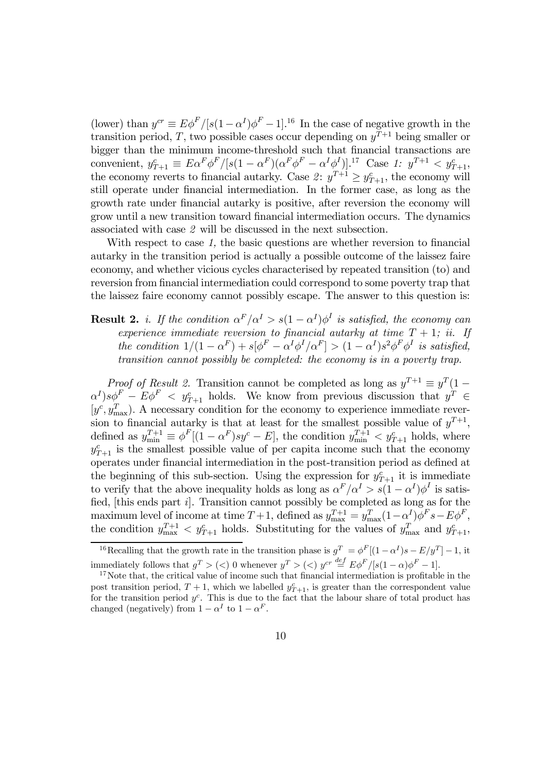(lower) than  $y^{cr} \equiv E\phi^F/[s(1-\alpha^I)\phi^F-1]$ .<sup>16</sup> In the case of negative growth in the transition period, T, two possible cases occur depending on  $y^{T+1}$  being smaller or bigger than the minimum income-threshold such that financial transactions are convenient,  $y_{T+1}^c \equiv E \alpha^F \phi^F / [s(1 - \alpha^F)(\alpha^F \phi^F - \alpha^I \phi^I)].$ <sup>17</sup> Case 1:  $y^{T+1} < y_{T+1}^c$ , the economy reverts to financial autarky. Case 2:  $y^{T+1} \ge y_{T+1}^c$ , the economy will still operate under financial intermediation. In the former case, as long as the growth rate under financial autarky is positive, after reversion the economy will grow until a new transition toward financial intermediation occurs. The dynamics associated with case 2 will be discussed in the next subsection.

With respect to case 1, the basic questions are whether reversion to financial autarky in the transition period is actually a possible outcome of the laissez faire economy, and whether vicious cycles characterised by repeated transition (to) and reversion from financial intermediation could correspond to some poverty trap that the laissez faire economy cannot possibly escape. The answer to this question is:

**Result 2.** *i. If the condition*  $\alpha^F/\alpha^I > s(1 - \alpha^I)\phi^I$  *is satisfied, the economy can* experience immediate reversion to financial autarky at time  $T + 1$ ; ii. If the condition  $1/(1 - \alpha^F) + s[\phi^F - \alpha^I \phi^I/\alpha^F] > (1 - \alpha^I)s^2 \phi^F \phi^I$  is satisfied, transition cannot possibly be completed: the economy is in a poverty trap.

*Proof of Result 2.* Transition cannot be completed as long as  $y^{T+1} \equiv y^T (1 \alpha^I$ )s $\phi^F - E\phi^F < y_{T+1}^c$  holds. We know from previous discussion that  $y^T \in$  $[y^c, y_{\text{max}}^T]$ . A necessary condition for the economy to experience immediate reversion to financial autarky is that at least for the smallest possible value of  $y^{T+1}$ , defined as  $y_{\min}^{T+1} \equiv \phi^F[(1-\alpha^F)sy^c - E]$ , the condition  $y_{\min}^{T+1} < y_{T+1}^c$  holds, where  $y_{T+1}^c$  is the smallest possible value of per capita income such that the economy operates under financial intermediation in the post-transition period as defined at the beginning of this sub-section. Using the expression for  $y_{T+1}^c$  it is immediate to verify that the above inequality holds as long as  $\alpha^F/\alpha^I > s(1 - \alpha^I)\phi^I$  is satisfied, [this ends part i]. Transition cannot possibly be completed as long as for the maximum level of income at time  $T+1$ , defined as  $y_{\text{max}}^{T+1} = y_{\text{max}}^T (1-\alpha^I) \phi^F s - E \phi^F$ , the condition  $y_{\text{max}}^{T+1} < y_{T+1}^c$  holds. Substituting for the values of  $y_{\text{max}}^T$  and  $y_{T+1}^c$ ,

<sup>&</sup>lt;sup>16</sup>Recalling that the growth rate in the transition phase is  $g^T = \phi^F[(1-\alpha^I)s - E/y^T] - 1$ , it immediately follows that  $g^T > \langle \langle \rangle$  0 whenever  $y^T > \langle \langle \rangle y^{cr} \stackrel{def}{=} E \phi^F / [s(1-\alpha)\phi^F - 1].$ 

 $17$  Note that, the critical value of income such that financial intermediation is profitable in the post transition period,  $T + 1$ , which we labelled  $y_{T+1}^c$ , is greater than the correspondent value for the transition period  $y^c$ . This is due to the fact that the labour share of total product has changed (negatively) from  $1 - \alpha^I$  to  $1 - \alpha^F$ .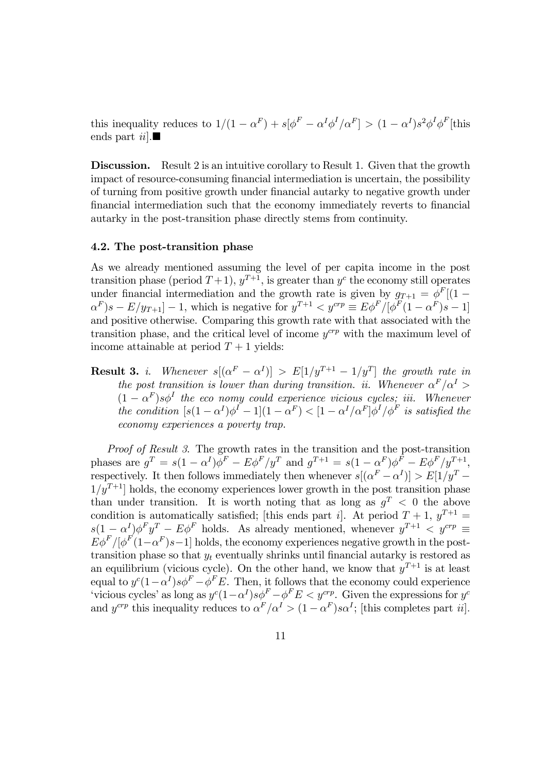this inequality reduces to  $1/(1 - \alpha^F) + s[\phi^F - \alpha^I \phi^I / \alpha^F] > (1 - \alpha^I) s^2 \phi^I \phi^F$  [this ends part  $ii$ .

Discussion. Result 2 is an intuitive corollary to Result 1. Given that the growth impact of resource-consuming financial intermediation is uncertain, the possibility of turning from positive growth under financial autarky to negative growth under financial intermediation such that the economy immediately reverts to financial autarky in the post-transition phase directly stems from continuity.

## 4.2. The post-transition phase

As we already mentioned assuming the level of per capita income in the post transition phase (period  $T+1$ ),  $y^{T+1}$ , is greater than  $y^c$  the economy still operates under financial intermediation and the growth rate is given by  $g_{T+1} = \phi^F[(1 \alpha^F$ )s –  $E/y_{T+1}$ ] – 1, which is negative for  $y^{T+1} < y^{crp} \equiv E\phi^F/[\phi^F(1-\alpha^F)s-1]$ and positive otherwise. Comparing this growth rate with that associated with the transition phase, and the critical level of income  $y^{crp}$  with the maximum level of income attainable at period  $T + 1$  yields:

**Result 3.** *i.* Whenever  $s[(\alpha^F - \alpha^I)] > E[1/y^{T+1} - 1/y^T]$  the growth rate in the post transition is lower than during transition. ii. Whenever  $\alpha^F/\alpha^I$  $(1 - \alpha^F) s \phi^I$  the eco nomy could experience vicious cycles; iii. Whenever the condition  $[s(1-\alpha^I)\phi^I - 1](1-\alpha^F) < [1-\alpha^I/\alpha^F]\phi^I/\phi^F$  is satisfied the economy experiences a poverty trap.

Proof of Result 3. The growth rates in the transition and the post-transition phases are  $g^T = s(1 - \alpha^I)\phi^F - E\phi^F/y^T$  and  $g^{T+1} = s(1 - \alpha^F)\phi^F - E\phi^F/y^{T+1}$ , respectively. It then follows immediately then whenever  $s[(\alpha^F - \alpha^I)] > E[1/y^T 1/y^{T+1}$  holds, the economy experiences lower growth in the post transition phase than under transition. It is worth noting that as long as  $g^T < 0$  the above condition is automatically satisfied; [this ends part i]. At period  $T + 1$ ,  $y^{T+1} =$  $s(1-\alpha^I)\phi^F y^T - E\phi^F$  holds. As already mentioned, whenever  $y^{T+1} < y^{crp} \equiv$  $E\phi^F/[\phi^F(1-\alpha^F)s-1]$  holds, the economy experiences negative growth in the posttransition phase so that  $y_t$  eventually shrinks until financial autarky is restored as an equilibrium (vicious cycle). On the other hand, we know that  $y^{T+1}$  is at least equal to  $y^c(1-\alpha^I)s\phi^F - \phi^FE$ . Then, it follows that the economy could experience vicious cycles' as long as  $y^c(1-\alpha^I)s\phi^F - \phi^FE < y^{crp}$ . Given the expressions for  $y^c$ and  $y^{crp}$  this inequality reduces to  $\alpha^F/\alpha^I > (1 - \alpha^F) s \alpha^I$ ; [this completes part *ii*].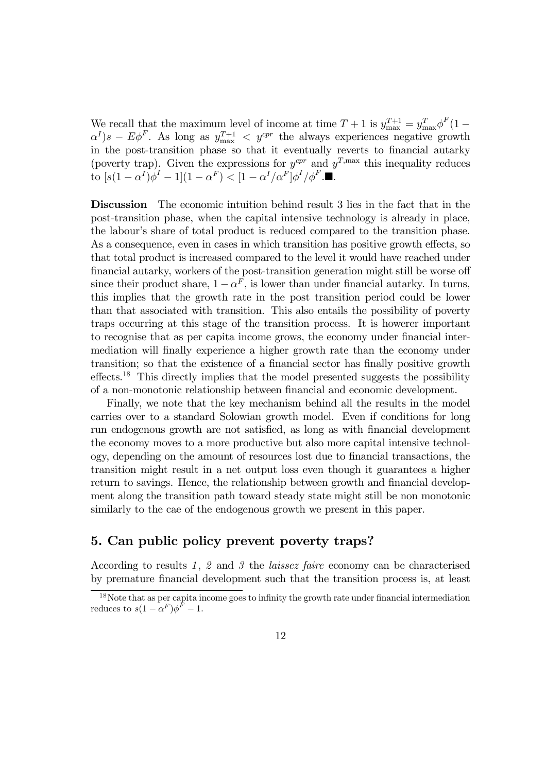We recall that the maximum level of income at time  $T+1$  is  $y_{\text{max}}^{T+1} = y_{\text{max}}^T \phi^F (1 \alpha^{I}$ )s –  $E\phi^{F}$ . As long as  $y_{\text{max}}^{T+1} < y^{cpr}$  the always experiences negative growth in the post-transition phase so that it eventually reverts to financial autarky (poverty trap). Given the expressions for  $y^{cpr}$  and  $y^{T,\max}$  this inequality reduces to  $[s(1 - \alpha^I)\phi^I - 1](1 - \alpha^F) < [1 - \alpha^I/\alpha^F]\phi^I/\phi^F$ .

Discussion The economic intuition behind result 3 lies in the fact that in the post-transition phase, when the capital intensive technology is already in place, the labourís share of total product is reduced compared to the transition phase. As a consequence, even in cases in which transition has positive growth effects, so that total product is increased compared to the level it would have reached under financial autarky, workers of the post-transition generation might still be worse off since their product share,  $1 - \alpha^F$ , is lower than under financial autarky. In turns, this implies that the growth rate in the post transition period could be lower than that associated with transition. This also entails the possibility of poverty traps occurring at this stage of the transition process. It is howerer important to recognise that as per capita income grows, the economy under financial intermediation will finally experience a higher growth rate than the economy under transition; so that the existence of a financial sector has finally positive growth effects.<sup>1</sup><sup>8</sup> This directly implies that the model presented suggests the possibility of a non-monotonic relationship between financial and economic development.

Finally, we note that the key mechanism behind all the results in the model carries over to a standard Solowian growth model. Even if conditions for long run endogenous growth are not satisfied, as long as with financial development the economy moves to a more productive but also more capital intensive technology, depending on the amount of resources lost due to financial transactions, the transition might result in a net output loss even though it guarantees a higher return to savings. Hence, the relationship between growth and financial development along the transition path toward steady state might still be non monotonic similarly to the cae of the endogenous growth we present in this paper.

# 5. Can public policy prevent poverty traps?

According to results 1, 2 and 3 the laissez faire economy can be characterised by premature financial development such that the transition process is, at least

<sup>1</sup>8Note that as per capita income goes to infinity the growth rate under financial intermediation reduces to  $s(1-\alpha^F)\phi^F-1$ .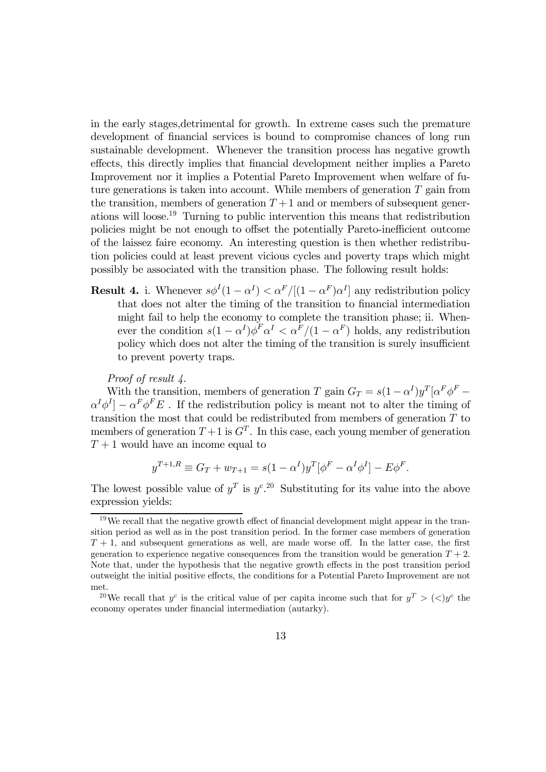in the early stages,detrimental for growth. In extreme cases such the premature development of financial services is bound to compromise chances of long run sustainable development. Whenever the transition process has negative growth effects, this directly implies that financial development neither implies a Pareto Improvement nor it implies a Potential Pareto Improvement when welfare of future generations is taken into account. While members of generation  $T$  gain from the transition, members of generation  $T+1$  and or members of subsequent generations will loose.<sup>1</sup><sup>9</sup> Turning to public intervention this means that redistribution policies might be not enough to offset the potentially Pareto-inefficient outcome of the laissez faire economy. An interesting question is then whether redistribution policies could at least prevent vicious cycles and poverty traps which might possibly be associated with the transition phase. The following result holds:

**Result 4.** i. Whenever  $s\phi^I(1-\alpha^I) < \alpha^F/[(1-\alpha^F)\alpha^I]$  any redistribution policy that does not alter the timing of the transition to financial intermediation might fail to help the economy to complete the transition phase; ii. Whenever the condition  $s(1-\alpha^I)\phi^F\alpha^I < \alpha^F/(1-\alpha^F)$  holds, any redistribution policy which does not alter the timing of the transition is surely insufficient to prevent poverty traps.

#### Proof of result 4.

With the transition, members of generation T gain  $G_T = s(1 - \alpha^I)y^T[\alpha^F \phi^F \alpha^I \phi^I$ ] –  $\alpha^F \phi^F E$ . If the redistribution policy is meant not to alter the timing of transition the most that could be redistributed from members of generation  $T$  to members of generation  $T+1$  is  $G<sup>T</sup>$ . In this case, each young member of generation  $T+1$  would have an income equal to

$$
y^{T+1,R} \equiv G_T + w_{T+1} = s(1 - \alpha^I)y^T[\phi^F - \alpha^I \phi^I] - E\phi^F.
$$

The lowest possible value of  $y^T$  is  $y^c$ .<sup>20</sup> Substituting for its value into the above expression yields:

 $19$ We recall that the negative growth effect of financial development might appear in the transition period as well as in the post transition period. In the former case members of generation  $T + 1$ , and subsequent generations as well, are made worse off. In the latter case, the first generation to experience negative consequences from the transition would be generation  $T + 2$ . Note that, under the hypothesis that the negative growth effects in the post transition period outweight the initial positive effects, the conditions for a Potential Pareto Improvement are not met.

<sup>&</sup>lt;sup>20</sup>We recall that  $y^c$  is the critical value of per capita income such that for  $y^T > (\langle y \rangle^c)$  the economy operates under financial intermediation (autarky).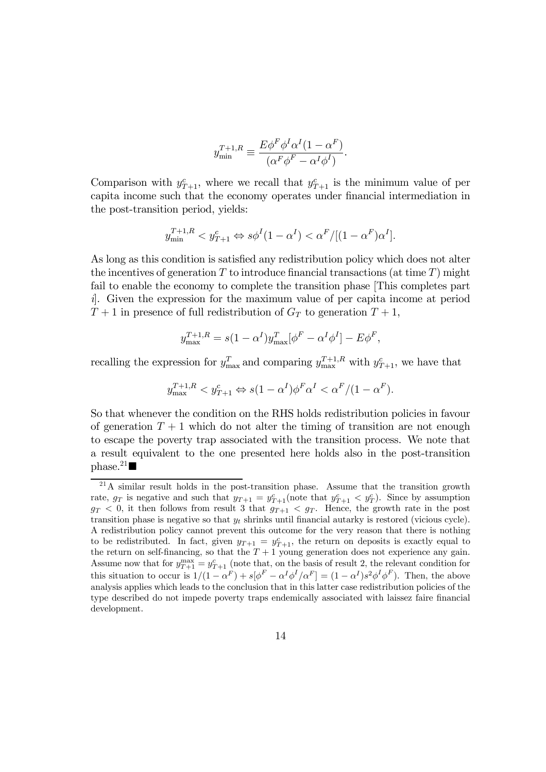$$
y_{\min}^{T+1,R} \equiv \frac{E\phi^F \phi^I \alpha^I (1 - \alpha^F)}{(\alpha^F \phi^F - \alpha^I \phi^I)}.
$$

Comparison with  $y_{T+1}^c$ , where we recall that  $y_{T+1}^c$  is the minimum value of per capita income such that the economy operates under financial intermediation in the post-transition period, yields:

$$
y_{\min}^{T+1,R} < y_{T+1}^c \Leftrightarrow s\phi^I(1-\alpha^I) < \alpha^F/[(1-\alpha^F)\alpha^I].
$$

As long as this condition is satisfied any redistribution policy which does not alter the incentives of generation  $T$  to introduce financial transactions (at time  $T$ ) might fail to enable the economy to complete the transition phase [This completes part i]. Given the expression for the maximum value of per capita income at period  $T+1$  in presence of full redistribution of  $G_T$  to generation  $T+1$ ,

$$
y_{\text{max}}^{T+1,R} = s(1 - \alpha^I) y_{\text{max}}^T [\phi^F - \alpha^I \phi^I] - E \phi^F,
$$

recalling the expression for  $y_{\text{max}}^T$  and comparing  $y_{\text{max}}^{T+1,R}$  with  $y_{T+1}^c$ , we have that

$$
y_{\max}^{T+1,R} < y_{T+1}^c \Leftrightarrow s(1-\alpha^I)\phi^F\alpha^I < \alpha^F/(1-\alpha^F).
$$

So that whenever the condition on the RHS holds redistribution policies in favour of generation  $T + 1$  which do not alter the timing of transition are not enough to escape the poverty trap associated with the transition process. We note that a result equivalent to the one presented here holds also in the post-transition  $phase.<sup>21</sup>$ 

 $21A$  similar result holds in the post-transition phase. Assume that the transition growth rate,  $g_T$  is negative and such that  $y_{T+1} = y_{T+1}^c$  (note that  $y_{T+1}^c < y_T^c$ ). Since by assumption  $g_T < 0$ , it then follows from result 3 that  $g_{T+1} < g_T$ . Hence, the growth rate in the post transition phase is negative so that  $y_t$  shrinks until financial autarky is restored (vicious cycle). A redistribution policy cannot prevent this outcome for the very reason that there is nothing to be redistributed. In fact, given  $y_{T+1} = y_{T+1}^c$ , the return on deposits is exactly equal to the return on self-financing, so that the  $T + 1$  young generation does not experience any gain. Assume now that for  $y_{T+1}^{\text{max}} = y_{T+1}^c$  (note that, on the basis of result 2, the relevant condition for this situation to occur is  $1/(1 - \alpha^F) + s[\phi^F - \alpha^I \phi^I/\alpha^F] = (1 - \alpha^I)s^2 \phi^I \phi^F$ . Then, the above analysis applies which leads to the conclusion that in this latter case redistribution policies of the type described do not impede poverty traps endemically associated with laissez faire financial development.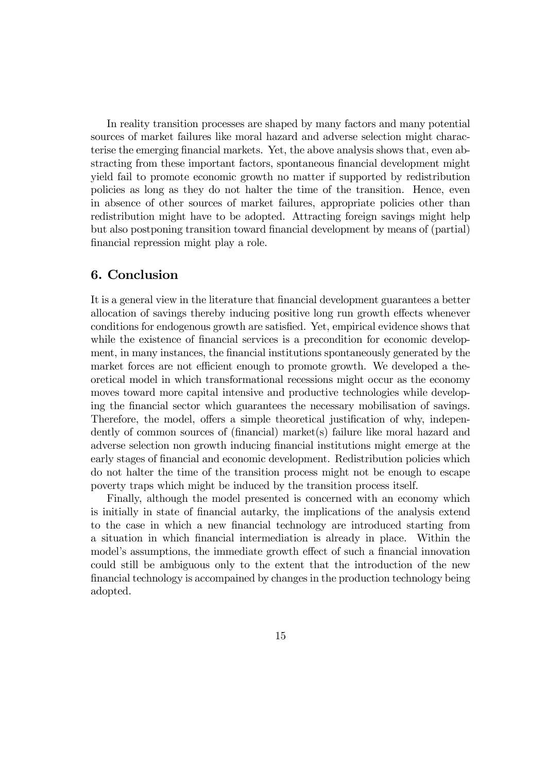In reality transition processes are shaped by many factors and many potential sources of market failures like moral hazard and adverse selection might characterise the emerging financial markets. Yet, the above analysis shows that, even abstracting from these important factors, spontaneous financial development might yield fail to promote economic growth no matter if supported by redistribution policies as long as they do not halter the time of the transition. Hence, even in absence of other sources of market failures, appropriate policies other than redistribution might have to be adopted. Attracting foreign savings might help but also postponing transition toward financial development by means of (partial) financial repression might play a role.

# 6. Conclusion

It is a general view in the literature that financial development guarantees a better allocation of savings thereby inducing positive long run growth effects whenever conditions for endogenous growth are satisfied. Yet, empirical evidence shows that while the existence of financial services is a precondition for economic development, in many instances, the financial institutions spontaneously generated by the market forces are not efficient enough to promote growth. We developed a theoretical model in which transformational recessions might occur as the economy moves toward more capital intensive and productive technologies while developing the financial sector which guarantees the necessary mobilisation of savings. Therefore, the model, offers a simple theoretical justification of why, independently of common sources of (financial) market(s) failure like moral hazard and adverse selection non growth inducing financial institutions might emerge at the early stages of financial and economic development. Redistribution policies which do not halter the time of the transition process might not be enough to escape poverty traps which might be induced by the transition process itself.

Finally, although the model presented is concerned with an economy which is initially in state of financial autarky, the implications of the analysis extend to the case in which a new financial technology are introduced starting from a situation in which financial intermediation is already in place. Within the model's assumptions, the immediate growth effect of such a financial innovation could still be ambiguous only to the extent that the introduction of the new financial technology is accompained by changes in the production technology being adopted.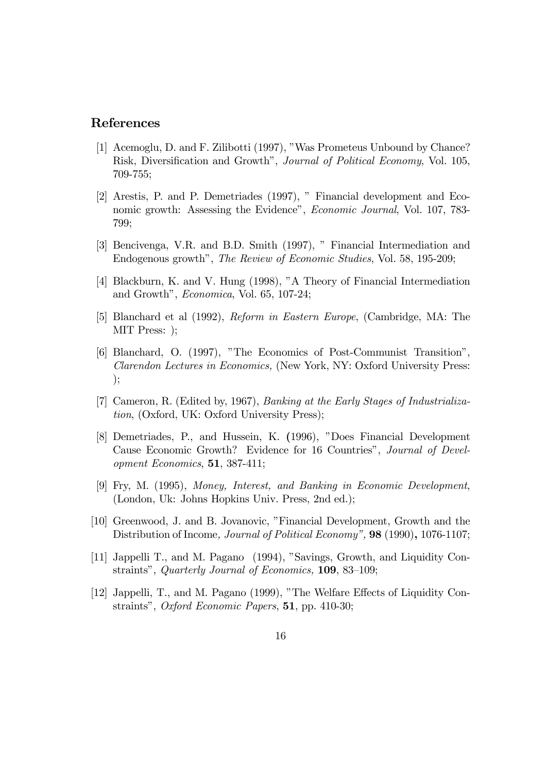## References

- [1] Acemoglu, D. and F. Zilibotti (1997), "Was Prometeus Unbound by Chance? Risk, Diversification and Growth", *Journal of Political Economy*, Vol. 105, 709-755;
- [2] Arestis, P. and P. Demetriades (1997), î Financial development and Economic growth: Assessing the Evidence", *Economic Journal*, Vol. 107, 783-799;
- [3] Bencivenga, V.R. and B.D. Smith (1997), " Financial Intermediation and Endogenous growth", *The Review of Economic Studies*, Vol. 58, 195-209;
- [4] Blackburn, K. and V. Hung (1998), "A Theory of Financial Intermediation and Growth",  $Economica$ , Vol. 65, 107-24;
- [5] Blanchard et al (1992), Reform in Eastern Europe, (Cambridge, MA: The MIT Press: );
- [6] Blanchard, O. (1997), "The Economics of Post-Communist Transition", Clarendon Lectures in Economics, (New York, NY: Oxford University Press: );
- [7] Cameron, R. (Edited by, 1967), Banking at the Early Stages of Industrialization, (Oxford, UK: Oxford University Press);
- [8] Demetriades, P., and Hussein, K. (1996), "Does Financial Development Cause Economic Growth? Evidence for 16 Countries", Journal of Development Economics, 51, 387-411;
- [9] Fry, M. (1995), Money, Interest, and Banking in Economic Development, (London, Uk: Johns Hopkins Univ. Press, 2nd ed.);
- [10] Greenwood, J. and B. Jovanovic, îFinancial Development, Growth and the Distribution of Income, Journal of Political Economy", 98 (1990), 1076-1107;
- [11] Jappelli T., and M. Pagano (1994), "Savings, Growth, and Liquidity Constraints", Quarterly Journal of Economics,  $109$ ,  $83-109$ ;
- [12] Jappelli, T., and M. Pagano (1999), "The Welfare Effects of Liquidity Constraints", Oxford Economic Papers, 51, pp. 410-30;